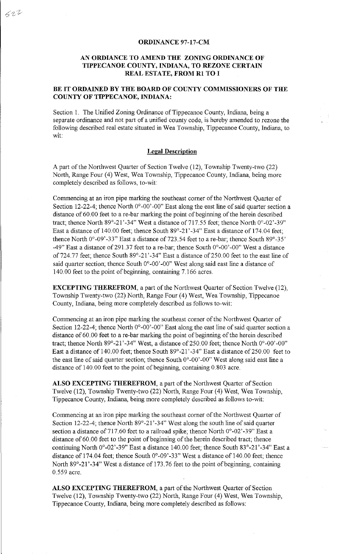## **ORDINANCE 97-17-CM**

## **AN ORDIANCE TO AMEND THE ZONING ORDINANCE OF TIPPECANOE COUNTY, INDIANA, TO REZONE CERTAIN REAL ESTATE, FROM RI TO I**

## **BE IT ORDAINED BY THE BOARD OF COUNTY COMMISSIONERS OF THE COUNTY OF TIPPECANOE, INDIANA:**

Section 1. The Unified Zoning Ordinance of Tippecanoe County, Indiana, being a separate ordinance and not part of a unified county code, is hereby amended to rezone the following described real estate situated in Wea Township, Tippecanoe County, Indiana, to wit:

## **Legal Description**

Apart of the Northwest Quarter of Section Twelve (12), Township Twenty-two (22) North, Range Four (4) West, Wea Township, Tippecanoe County, Indiana, being more completely described as follows, to-wit:

Commencing at an iron pipe marking the southeast corner of the Northwest Quarter of Section 12-22-4; thence North  $0^{\circ}$ -00'-00" East along the east line of said quarter section a distance of 60.00 feet to a re-bar marking the point of beginning of the herein described tract; thence North 89°-21'-34" West a distance of 717.55 feet; thence North 0°-02'-39" East a distance of 140.00 feet; thence South 89°-21 '-34" East a distance of 174.04 feet; thence North  $0^{\circ}$ -09'-33" East a distance of 723.54 feet to a re-bar; thence South 89 $^{\circ}$ -35' -49" East a distance of 291.37 feet to a re-bar; thence South  $0^{\circ}$ -00'-00" West a distance of724.77 feet; thence South 89°-21'-34" East a distance of250.00 feet to the east line of said quarter section; thence South  $0^{\circ}$ -00'-00" West along said east line a distance of 140.00 feet to the point of beginning, containing 7.166 acres.

**EXCEPTING THEREFROM,** a part of the Northwest Quarter of Section Twelve (12), Township Twenty-two (22) North, Range Four ( 4) West, Wea Township, Tippecanoe County, Indiana, being more completely described as follows to-wit:

Commencing at an iron pipe marking the southeast corner of the Northwest Quarter of Section 12-22-4; thence North  $0^{\circ}$ -00'-00" East along the east line of said quarter section a distance of 60. 00 feet to a re-bar marking the point of beginning of the herein described tract; thence North 89°-21'-34" West, a distance of 250.00 feet; thence North 0°-00'-00" East a distance of 140.00 feet; thence South 89°-21'-34" East a distance of 250.00 feet to the east line of said quarter section; thence South  $0^{\circ}$ -00'-00" West along said east line a distance of 140.00 feet to the point of beginning, containing 0.803 acre.

**ALSO EXCEPTING THEREFROM,** a part of the Northwest Quarter of Section Twelve (12), Township Twenty-two (22) North, Range Four (4) West, Wea Township, Tippecanoe County, Indiana, being more completely described as follows to-wit:

Commencing at an iron pipe marking the southeast corner of the Northwest Quarter of Section 12-22-4; thence North 89°-21'-34" West along the south line of said quarter section a distance of 717.60 feet to a railroad spike; thence North  $0^{\circ}$ -02'-39" East a distance of 60.00 feet to the point of beginning of the herein described tract; thence continuing North 0°-02'-39" East a distance 140.00 feet; thence South 83°-21'-34" East a distance of 174.04 feet; thence South  $0^{\circ}$ -09'-33" West a distance of 140.00 feet; thence North 89°-21'-34" West a distance of 173.76 feet to the point of beginning, containing 0.559 acre.

**ALSO EXCEPTING THEREFROM,** a part of the Northwest Quarter of Section Twelve (12), Township Twenty-two (22) North, Range Four (4) West, Wea Township, Tippecanoe County, Indiana, being more completely described as follows: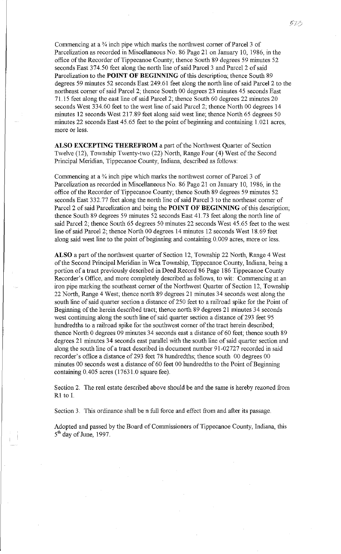Commencing at a  $\frac{3}{4}$  inch pipe which marks the northwest corner of Parcel 3 of Parcelization as recorded in Miscellaneous No. 86 Page 21 on January 10, 1986, in the office of the Recorder of Tippecanoe County; thence South 89 degrees 59 minutes 52 seconds East 374.50 feet along the north line of said Parcel 3 and Parcel 2 of said Parcelization to the **POINT OF BEGINNING** of this description; thence South 89 degrees 59 minutes 52 seconds East 249.61 feet along the north line of said Parcel 2 to the northeast comer of said Parcel 2; thence South 00 degrees 23 minutes 45 seconds East 71.15 feet along the east line of said Parcel 2; thence South 60 degrees 22 minutes 20 seconds West 334.60 feet to the west line of said Parcel 2; thence North 00 degrees 14 minutes 12 seconds West 217.89 feet along said west line; thence North 65 degrees 50 minutes 22 seconds East 45.65 feet to the point of beginning and containing 1.021 acres, more or less.

**ALSO EXCEPTING THEREFROM** a part of the Northwest Quarter of Section Twelve (12), Township Twenty-two (22) North, Range Four (4) West of the Second Principal Meridian, Tippecanoe County, Indiana, described as follows:

Commencing at a  $\frac{3}{4}$  inch pipe which marks the northwest corner of Parcel 3 of Parcelization as recorded in Miscellaneous No. 86 Page 21 on January 10, 1986, in the office of the Recorder of Tippecanoe County; thence South 89 degrees 59 minutes 52 seconds East 332.77 feet along the north line of said Parcel 3 to the northeast corner of Parcel 2 of said Parcelization and being the **POINT OF BEGINNING** of this description; thence South 89 degrees 59 minutes 52 seconds East 41. 73 feet along the north line of said Parcel 2; thence South 65 degrees 50 minutes 22 seconds West 45.65 feet to the west line of said Parcel 2; thence North 00 degrees 14 minutes 12 seconds West 18.69 feet along said west line to the point of beginning and containing 0. 009 acres, more or less.

**ALSO** a part of the northwest quarter of Section 12, Township 22 North, Range 4 West of the Second Principal Meridian in Wea Township, Tippecanoe County, Indiana, being a portion of a tract previously described in Deed Record 86 Page 186 Tippecanoe County Recorder's Office, and more completely described as follows, to wit: Commencing at an iron pipe marking the southeast comer of the Northwest Quarter of Section 12, Township 22 North, Range 4 West; thence north 89 degrees 21 minutes 34 seconds west along the south line of said quarter section a distance of 250 feet to a railroad spike for the Point of Beginning of the herein described tract; thence north 89 degrees 21 minutes 34 seconds west continuing along the south line of said quarter section a distance of 293 feet 95 hundredths to a railroad spike for the southwest comer of the tract herein described; thence North 0 degrees 09 minutes 34 seconds east a distance of 60 feet; thence south 89 degrees 21 minutes 34 seconds east parallel with the south line of said quarter section and along the south line of a tract described in document number 91-02727 recorded in said recorder's office a distance of 293 feet 78 hundredths; thence south 00 degrees 00 minutes 00 seconds west a distance of 60 feet 00 hundredths to the Point of Beginning containing 0.405 acres (17631.0 square fee).

Section 2. The real estate described above should be and the same is hereby rezoned from Rl to I.

Section 3. This ordinance shall be n full force and effect from and after its passage.

Adopted and passed by the Board of Commissioners of Tippecanoe County, Indiana, this  $5<sup>th</sup>$  day of June, 1997.